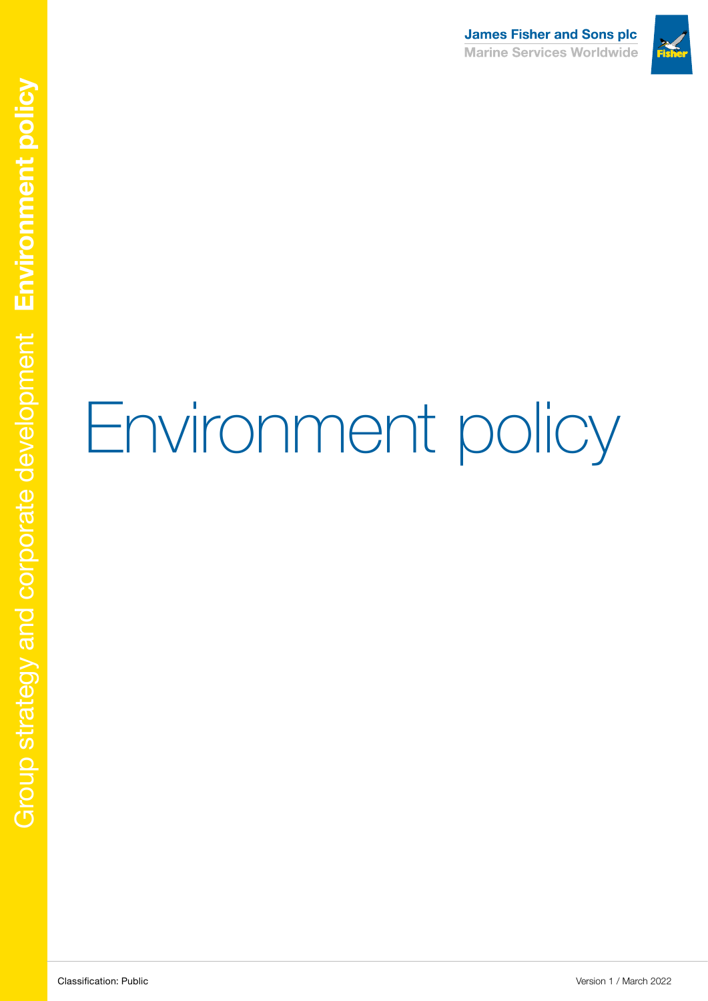

# Environment policy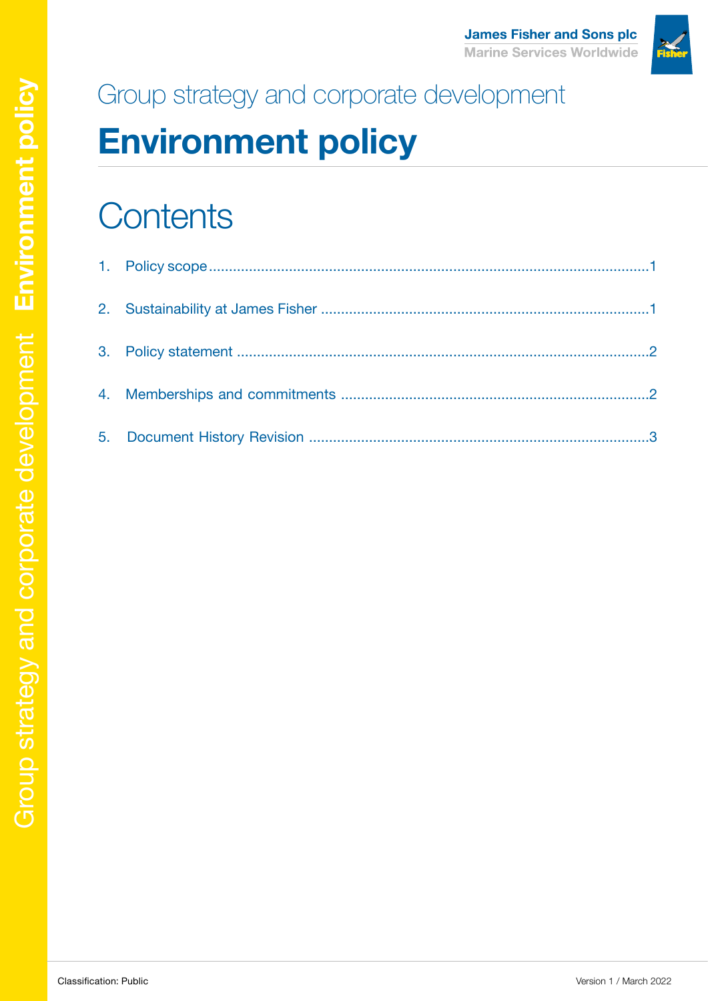

# Group strategy and corporate development

# **Environment policy**

# **Contents**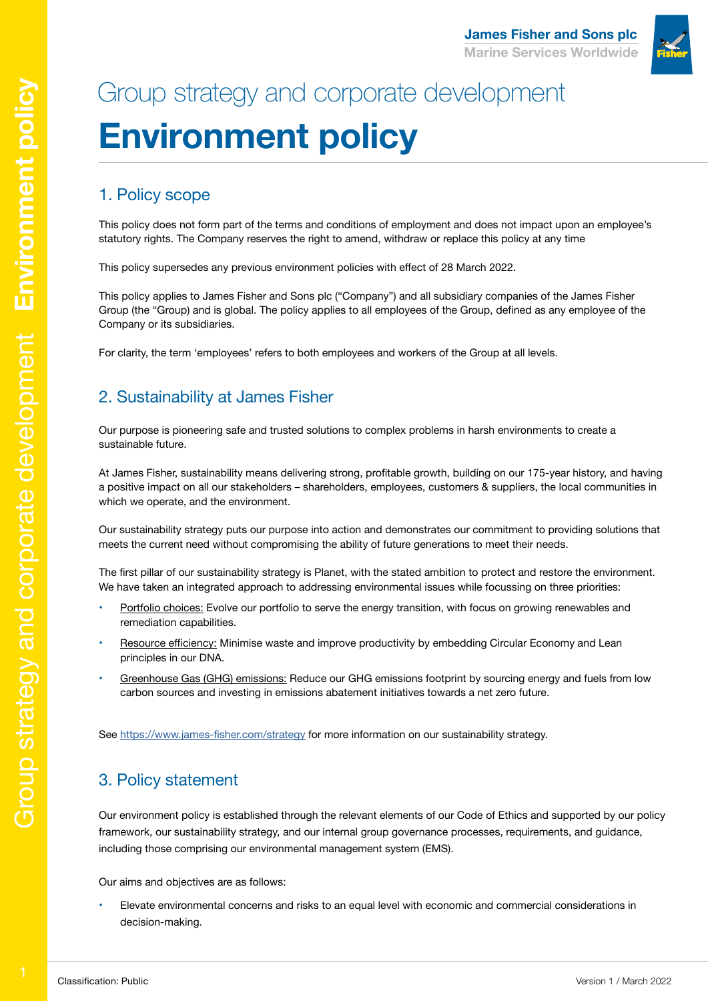**James Fisher and Sons plc Marine Services Worldwide** 

### 1. Policy scope

This policy does not form part of the terms and conditions of employment and does not impact upon an employee's statutory rights. The Company reserves the right to amend, withdraw or replace this policy at any time

This policy supersedes any previous environment policies with effect of 28 March 2022.

This policy applies to James Fisher and Sons plc ("Company") and all subsidiary companies of the James Fisher Group (the "Group) and is global. The policy applies to all employees of the Group, defined as any employee of the Company or its subsidiaries.

For clarity, the term 'employees' refers to both employees and workers of the Group at all levels.

### 2. Sustainability at James Fisher

Our purpose is pioneering safe and trusted solutions to complex problems in harsh environments to create a sustainable future.

At James Fisher, sustainability means delivering strong, profitable growth, building on our 175-year history, and having a positive impact on all our stakeholders – shareholders, employees, customers & suppliers, the local communities in which we operate, and the environment.

Our sustainability strategy puts our purpose into action and demonstrates our commitment to providing solutions that meets the current need without compromising the ability of future generations to meet their needs.

The first pillar of our sustainability strategy is Planet, with the stated ambition to protect and restore the environment. We have taken an integrated approach to addressing environmental issues while focussing on three priorities:

- Portfolio choices: Evolve our portfolio to serve the energy transition, with focus on growing renewables and remediation capabilities.
- Resource efficiency: Minimise waste and improve productivity by embedding Circular Economy and Lean principles in our DNA.
- Greenhouse Gas (GHG) emissions: Reduce our GHG emissions footprint by sourcing energy and fuels from low carbon sources and investing in emissions abatement initiatives towards a net zero future.

See<https://www.james-fisher.com/strategy>for more information on our sustainability strategy.

### 3. Policy statement

Our environment policy is established through the relevant elements of our Code of Ethics and supported by our policy framework, our sustainability strategy, and our internal group governance processes, requirements, and guidance, including those comprising our environmental management system (EMS).

Our aims and objectives are as follows:

Elevate environmental concerns and risks to an equal level with economic and commercial considerations in decision-making.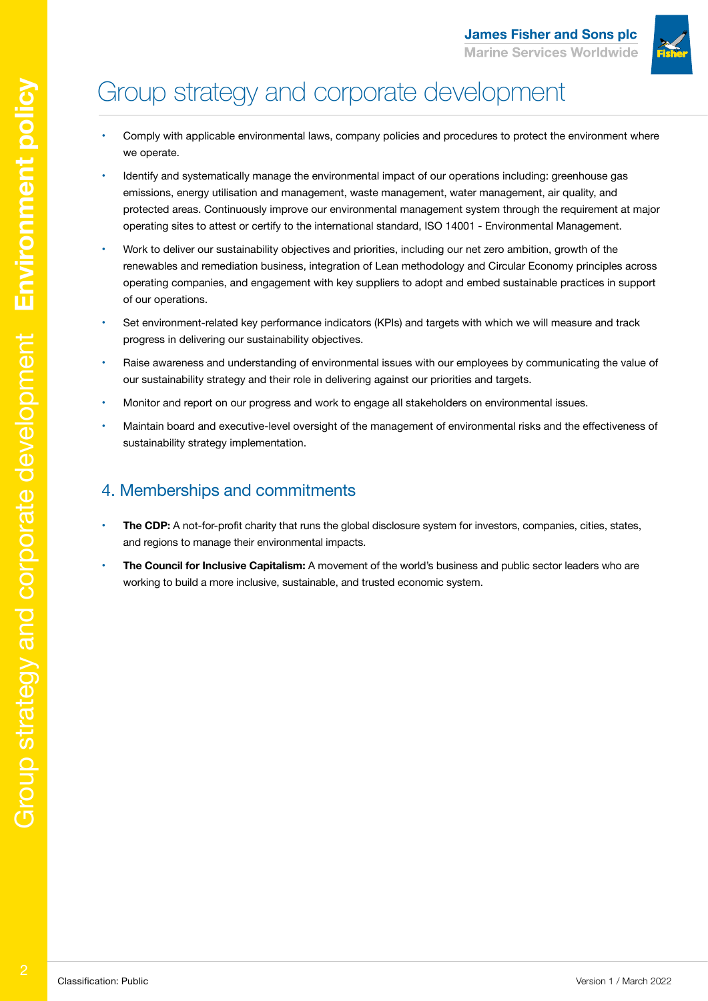

## Group strategy and corporate development

- Comply with applicable environmental laws, company policies and procedures to protect the environment where we operate.
- Identify and systematically manage the environmental impact of our operations including: greenhouse gas emissions, energy utilisation and management, waste management, water management, air quality, and protected areas. Continuously improve our environmental management system through the requirement at major operating sites to attest or certify to the international standard, ISO 14001 - Environmental Management.
- Work to deliver our sustainability objectives and priorities, including our net zero ambition, growth of the renewables and remediation business, integration of Lean methodology and Circular Economy principles across operating companies, and engagement with key suppliers to adopt and embed sustainable practices in support of our operations.
- Set environment-related key performance indicators (KPIs) and targets with which we will measure and track progress in delivering our sustainability objectives.
- Raise awareness and understanding of environmental issues with our employees by communicating the value of our sustainability strategy and their role in delivering against our priorities and targets.
- Monitor and report on our progress and work to engage all stakeholders on environmental issues.
- Maintain board and executive-level oversight of the management of environmental risks and the effectiveness of sustainability strategy implementation.

### 4. Memberships and commitments

- The CDP: A not-for-profit charity that runs the global disclosure system for investors, companies, cities, states, and regions to manage their environmental impacts.
- The Council for Inclusive Capitalism: A movement of the world's business and public sector leaders who are working to build a more inclusive, sustainable, and trusted economic system.